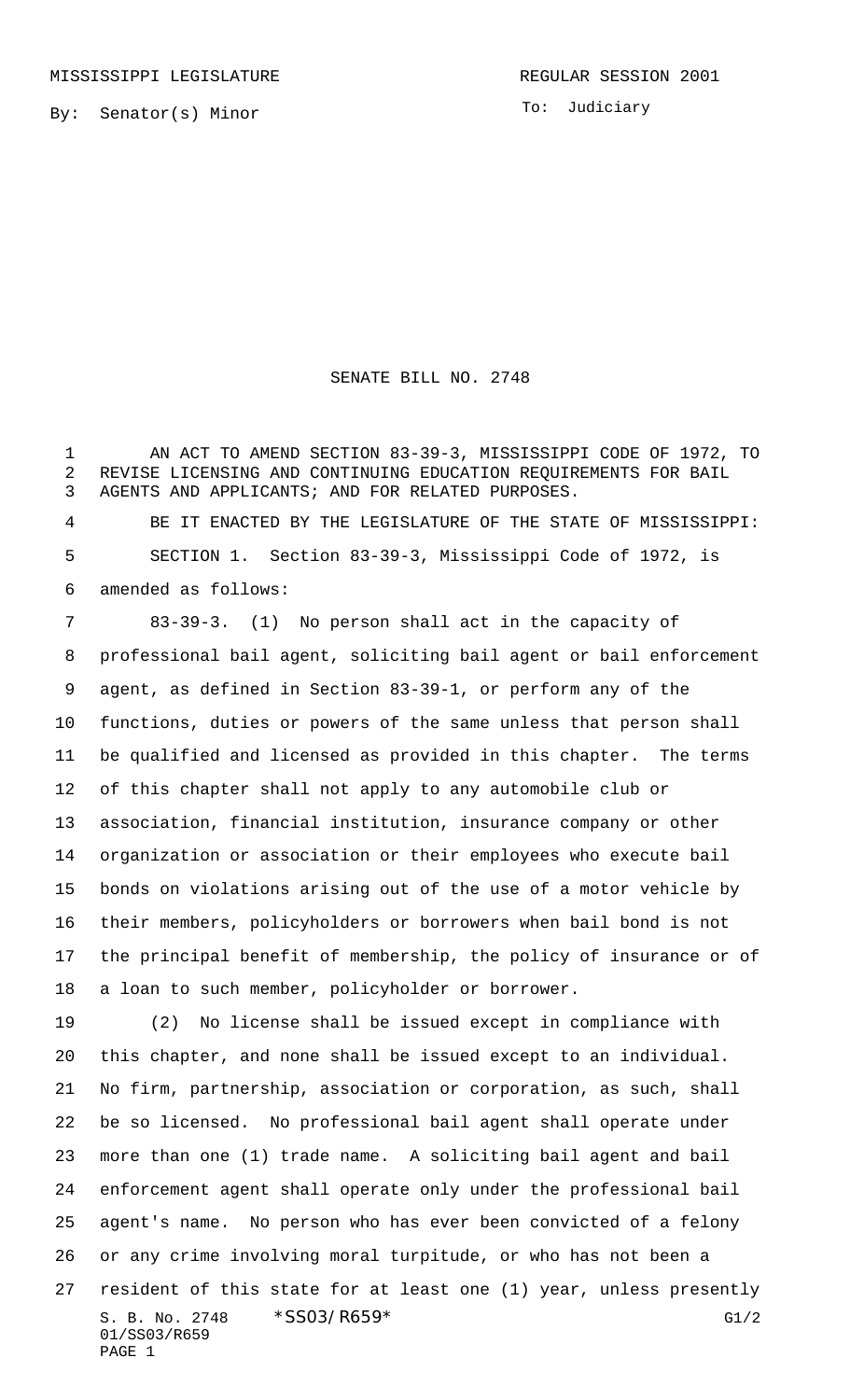To: Judiciary

## SENATE BILL NO. 2748

 AN ACT TO AMEND SECTION 83-39-3, MISSISSIPPI CODE OF 1972, TO REVISE LICENSING AND CONTINUING EDUCATION REQUIREMENTS FOR BAIL AGENTS AND APPLICANTS; AND FOR RELATED PURPOSES.

 BE IT ENACTED BY THE LEGISLATURE OF THE STATE OF MISSISSIPPI: SECTION 1. Section 83-39-3, Mississippi Code of 1972, is amended as follows:

 83-39-3. (1) No person shall act in the capacity of professional bail agent, soliciting bail agent or bail enforcement agent, as defined in Section 83-39-1, or perform any of the functions, duties or powers of the same unless that person shall be qualified and licensed as provided in this chapter. The terms of this chapter shall not apply to any automobile club or association, financial institution, insurance company or other organization or association or their employees who execute bail bonds on violations arising out of the use of a motor vehicle by their members, policyholders or borrowers when bail bond is not the principal benefit of membership, the policy of insurance or of a loan to such member, policyholder or borrower.

S. B. No. 2748 \* SS03/R659\* G1/2 01/SS03/R659 PAGE 1 (2) No license shall be issued except in compliance with this chapter, and none shall be issued except to an individual. No firm, partnership, association or corporation, as such, shall be so licensed. No professional bail agent shall operate under more than one (1) trade name. A soliciting bail agent and bail enforcement agent shall operate only under the professional bail agent's name. No person who has ever been convicted of a felony or any crime involving moral turpitude, or who has not been a resident of this state for at least one (1) year, unless presently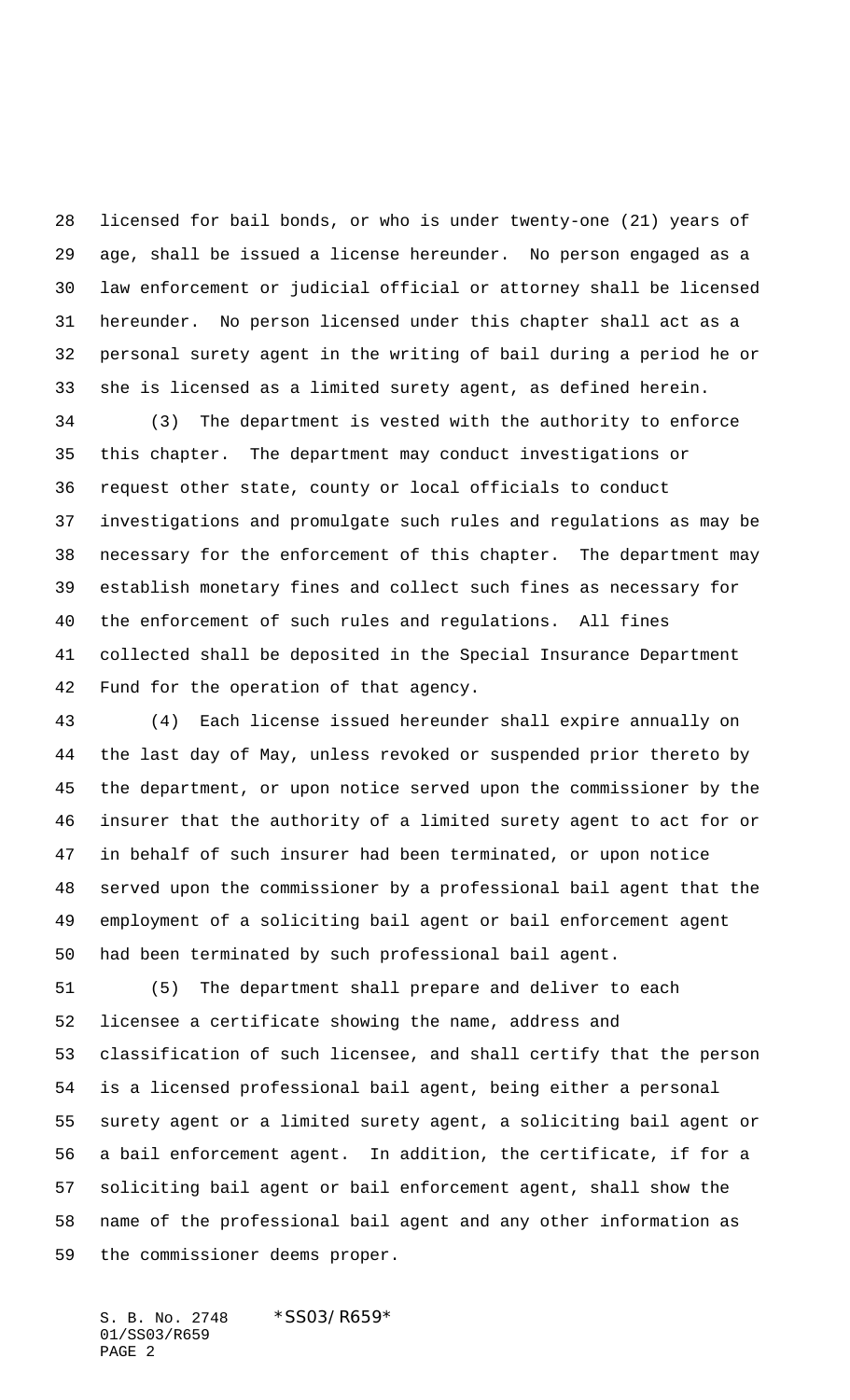licensed for bail bonds, or who is under twenty-one (21) years of age, shall be issued a license hereunder. No person engaged as a law enforcement or judicial official or attorney shall be licensed hereunder. No person licensed under this chapter shall act as a personal surety agent in the writing of bail during a period he or she is licensed as a limited surety agent, as defined herein.

 (3) The department is vested with the authority to enforce this chapter. The department may conduct investigations or request other state, county or local officials to conduct investigations and promulgate such rules and regulations as may be necessary for the enforcement of this chapter. The department may establish monetary fines and collect such fines as necessary for the enforcement of such rules and regulations. All fines collected shall be deposited in the Special Insurance Department Fund for the operation of that agency.

 (4) Each license issued hereunder shall expire annually on the last day of May, unless revoked or suspended prior thereto by the department, or upon notice served upon the commissioner by the insurer that the authority of a limited surety agent to act for or in behalf of such insurer had been terminated, or upon notice served upon the commissioner by a professional bail agent that the employment of a soliciting bail agent or bail enforcement agent had been terminated by such professional bail agent.

 (5) The department shall prepare and deliver to each licensee a certificate showing the name, address and classification of such licensee, and shall certify that the person is a licensed professional bail agent, being either a personal surety agent or a limited surety agent, a soliciting bail agent or a bail enforcement agent. In addition, the certificate, if for a soliciting bail agent or bail enforcement agent, shall show the name of the professional bail agent and any other information as the commissioner deems proper.

S. B. No. 2748 \* SS03/R659\* 01/SS03/R659 PAGE 2